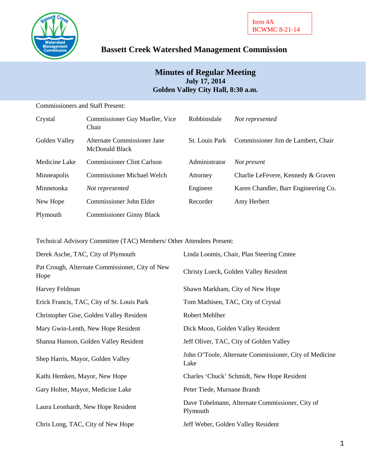

# **Bassett Creek Watershed Management Commission**

## **Minutes of Regular Meeting July 17, 2014 Golden Valley City Hall, 8:30 a.m.**

| <b>Commissioners and Staff Present:</b> |  |
|-----------------------------------------|--|
|                                         |  |

| Crystal       | Commissioner Guy Mueller, Vice<br>Chair       | Robbinsdale           | Not represented                      |
|---------------|-----------------------------------------------|-----------------------|--------------------------------------|
| Golden Valley | Alternate Commissioner Jane<br>McDonald Black | <b>St.</b> Louis Park | Commissioner Jim de Lambert, Chair   |
| Medicine Lake | <b>Commissioner Clint Carlson</b>             | Administrator         | Not present                          |
| Minneapolis   | <b>Commissioner Michael Welch</b>             | Attorney              | Charlie LeFevere, Kennedy & Graven   |
| Minnetonka    | Not represented                               | Engineer              | Karen Chandler, Barr Engineering Co. |
| New Hope      | Commissioner John Elder                       | Recorder              | Amy Herbert                          |
| Plymouth      | <b>Commissioner Ginny Black</b>               |                       |                                      |

Technical Advisory Committee (TAC) Members/ Other Attendees Present:

| Derek Asche, TAC, City of Plymouth                      | Linda Loomis, Chair, Plan Steering Cmtee                       |  |
|---------------------------------------------------------|----------------------------------------------------------------|--|
| Pat Crough, Alternate Commissioner, City of New<br>Hope | Christy Lueck, Golden Valley Resident                          |  |
| Harvey Feldman                                          | Shawn Markham, City of New Hope                                |  |
| Erick Francis, TAC, City of St. Louis Park              | Tom Mathisen, TAC, City of Crystal                             |  |
| Christopher Gise, Golden Valley Resident                | Robert Mehlher                                                 |  |
| Mary Gwin-Lenth, New Hope Resident                      | Dick Moon, Golden Valley Resident                              |  |
| Shanna Hanson, Golden Valley Resident                   | Jeff Oliver, TAC, City of Golden Valley                        |  |
| Shep Harris, Mayor, Golden Valley                       | John O'Toole, Alternate Commissioner, City of Medicine<br>Lake |  |
| Kathi Hemken, Mayor, New Hope                           | Charles 'Chuck' Schmidt, New Hope Resident                     |  |
| Gary Holter, Mayor, Medicine Lake                       | Peter Tiede, Murnane Brandt                                    |  |
| Laura Leonhardt, New Hope Resident                      | Dave Tobelmann, Alternate Commissioner, City of<br>Plymouth    |  |
| Chris Long, TAC, City of New Hope                       | Jeff Weber, Golden Valley Resident                             |  |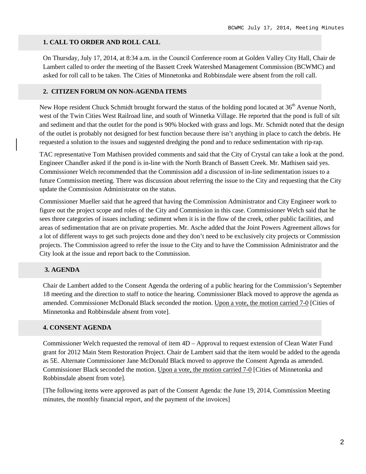#### **1. CALL TO ORDER AND ROLL CALL**

On Thursday, July 17, 2014, at 8:34 a.m. in the Council Conference room at Golden Valley City Hall, Chair de Lambert called to order the meeting of the Bassett Creek Watershed Management Commission (BCWMC) and asked for roll call to be taken. The Cities of Minnetonka and Robbinsdale were absent from the roll call.

#### **2. CITIZEN FORUM ON NON-AGENDA ITEMS**

New Hope resident Chuck Schmidt brought forward the status of the holding pond located at  $36<sup>th</sup>$  Avenue North, west of the Twin Cities West Railroad line, and south of Winnetka Village. He reported that the pond is full of silt and sediment and that the outlet for the pond is 90% blocked with grass and logs. Mr. Schmidt noted that the design of the outlet is probably not designed for best function because there isn't anything in place to catch the debris. He requested a solution to the issues and suggested dredging the pond and to reduce sedimentation with rip-rap.

TAC representative Tom Mathisen provided comments and said that the City of Crystal can take a look at the pond. Engineer Chandler asked if the pond is in-line with the North Branch of Bassett Creek. Mr. Mathisen said yes. Commissioner Welch recommended that the Commission add a discussion of in-line sedimentation issues to a future Commission meeting. There was discussion about referring the issue to the City and requesting that the City update the Commission Administrator on the status.

Commissioner Mueller said that he agreed that having the Commission Administrator and City Engineer work to figure out the project scope and roles of the City and Commission in this case. Commissioner Welch said that he sees three categories of issues including: sediment when it is in the flow of the creek, other public facilities, and areas of sedimentation that are on private properties. Mr. Asche added that the Joint Powers Agreement allows for a lot of different ways to get such projects done and they don't need to be exclusively city projects or Commission projects. The Commission agreed to refer the issue to the City and to have the Commission Administrator and the City look at the issue and report back to the Commission.

### **3. AGENDA**

Chair de Lambert added to the Consent Agenda the ordering of a public hearing for the Commission's September 18 meeting and the direction to staff to notice the hearing. Commissioner Black moved to approve the agenda as amended. Commissioner McDonald Black seconded the motion. Upon a vote, the motion carried 7-0 [Cities of Minnetonka and Robbinsdale absent from vote].

#### **4. CONSENT AGENDA**

Commissioner Welch requested the removal of item 4D – Approval to request extension of Clean Water Fund grant for 2012 Main Stem Restoration Project. Chair de Lambert said that the item would be added to the agenda as 5E. Alternate Commissioner Jane McDonald Black moved to approve the Consent Agenda as amended. Commissioner Black seconded the motion. Upon a vote, the motion carried 7-0 [Cities of Minnetonka and Robbinsdale absent from vote].

[The following items were approved as part of the Consent Agenda: the June 19, 2014, Commission Meeting minutes, the monthly financial report, and the payment of the invoices]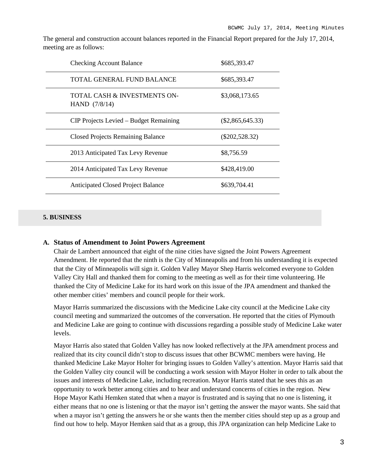The general and construction account balances reported in the Financial Report prepared for the July 17, 2014, meeting are as follows:

| <b>Checking Account Balance</b>               | \$685,393.47       |
|-----------------------------------------------|--------------------|
| TOTAL GENERAL FUND BALANCE                    | \$685,393.47       |
| TOTAL CASH & INVESTMENTS ON-<br>HAND (7/8/14) | \$3,068,173.65     |
| CIP Projects Levied – Budget Remaining        | $(\$2,865,645.33)$ |
| <b>Closed Projects Remaining Balance</b>      | $(\$202,528.32)$   |
| 2013 Anticipated Tax Levy Revenue             | \$8,756.59         |
| 2014 Anticipated Tax Levy Revenue             | \$428,419.00       |
| <b>Anticipated Closed Project Balance</b>     | \$639,704.41       |

### **5. BUSINESS**

#### **A. Status of Amendment to Joint Powers Agreement**

Chair de Lambert announced that eight of the nine cities have signed the Joint Powers Agreement Amendment. He reported that the ninth is the City of Minneapolis and from his understanding it is expected that the City of Minneapolis will sign it. Golden Valley Mayor Shep Harris welcomed everyone to Golden Valley City Hall and thanked them for coming to the meeting as well as for their time volunteering. He thanked the City of Medicine Lake for its hard work on this issue of the JPA amendment and thanked the other member cities' members and council people for their work.

Mayor Harris summarized the discussions with the Medicine Lake city council at the Medicine Lake city council meeting and summarized the outcomes of the conversation. He reported that the cities of Plymouth and Medicine Lake are going to continue with discussions regarding a possible study of Medicine Lake water levels.

Mayor Harris also stated that Golden Valley has now looked reflectively at the JPA amendment process and realized that its city council didn't stop to discuss issues that other BCWMC members were having. He thanked Medicine Lake Mayor Holter for bringing issues to Golden Valley's attention. Mayor Harris said that the Golden Valley city council will be conducting a work session with Mayor Holter in order to talk about the issues and interests of Medicine Lake, including recreation. Mayor Harris stated that he sees this as an opportunity to work better among cities and to hear and understand concerns of cities in the region. New Hope Mayor Kathi Hemken stated that when a mayor is frustrated and is saying that no one is listening, it either means that no one is listening or that the mayor isn't getting the answer the mayor wants. She said that when a mayor isn't getting the answers he or she wants then the member cities should step up as a group and find out how to help. Mayor Hemken said that as a group, this JPA organization can help Medicine Lake to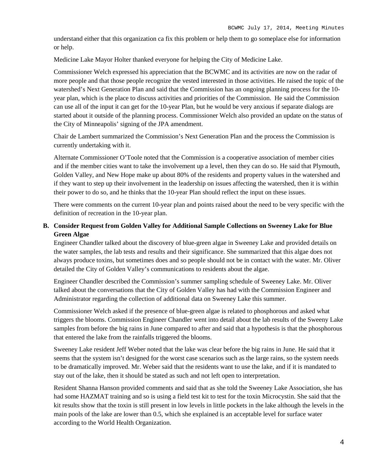understand either that this organization ca fix this problem or help them to go someplace else for information or help.

Medicine Lake Mayor Holter thanked everyone for helping the City of Medicine Lake.

Commissioner Welch expressed his appreciation that the BCWMC and its activities are now on the radar of more people and that those people recognize the vested interested in those activities. He raised the topic of the watershed's Next Generation Plan and said that the Commission has an ongoing planning process for the 10 year plan, which is the place to discuss activities and priorities of the Commission. He said the Commission can use all of the input it can get for the 10-year Plan, but he would be very anxious if separate dialogs are started about it outside of the planning process. Commissioner Welch also provided an update on the status of the City of Minneapolis' signing of the JPA amendment.

Chair de Lambert summarized the Commission's Next Generation Plan and the process the Commission is currently undertaking with it.

Alternate Commissioner O'Toole noted that the Commission is a cooperative association of member cities and if the member cities want to take the involvement up a level, then they can do so. He said that Plymouth, Golden Valley, and New Hope make up about 80% of the residents and property values in the watershed and if they want to step up their involvement in the leadership on issues affecting the watershed, then it is within their power to do so, and he thinks that the 10-year Plan should reflect the input on these issues.

There were comments on the current 10-year plan and points raised about the need to be very specific with the definition of recreation in the 10-year plan.

## **B. Consider Request from Golden Valley for Additional Sample Collections on Sweeney Lake for Blue Green Algae**

Engineer Chandler talked about the discovery of blue-green algae in Sweeney Lake and provided details on the water samples, the lab tests and results and their significance. She summarized that this algae does not always produce toxins, but sometimes does and so people should not be in contact with the water. Mr. Oliver detailed the City of Golden Valley's communications to residents about the algae.

Engineer Chandler described the Commission's summer sampling schedule of Sweeney Lake. Mr. Oliver talked about the conversations that the City of Golden Valley has had with the Commission Engineer and Administrator regarding the collection of additional data on Sweeney Lake this summer.

Commissioner Welch asked if the presence of blue-green algae is related to phosphorous and asked what triggers the blooms. Commission Engineer Chandler went into detail about the lab results of the Sweeny Lake samples from before the big rains in June compared to after and said that a hypothesis is that the phosphorous that entered the lake from the rainfalls triggered the blooms.

Sweeney Lake resident Jeff Weber noted that the lake was clear before the big rains in June. He said that it seems that the system isn't designed for the worst case scenarios such as the large rains, so the system needs to be dramatically improved. Mr. Weber said that the residents want to use the lake, and if it is mandated to stay out of the lake, then it should be stated as such and not left open to interpretation.

Resident Shanna Hanson provided comments and said that as she told the Sweeney Lake Association, she has had some HAZMAT training and so is using a field test kit to test for the toxin Microcystin. She said that the kit results show that the toxin is still present in low levels in little pockets in the lake although the levels in the main pools of the lake are lower than 0.5, which she explained is an acceptable level for surface water according to the World Health Organization.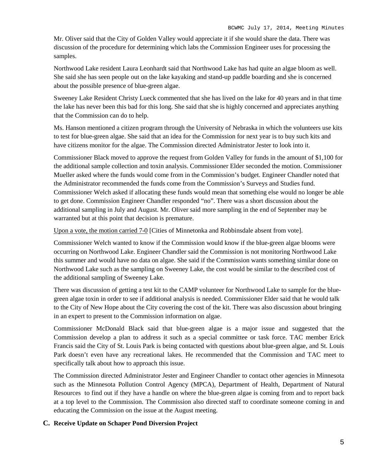Mr. Oliver said that the City of Golden Valley would appreciate it if she would share the data. There was discussion of the procedure for determining which labs the Commission Engineer uses for processing the samples.

Northwood Lake resident Laura Leonhardt said that Northwood Lake has had quite an algae bloom as well. She said she has seen people out on the lake kayaking and stand-up paddle boarding and she is concerned about the possible presence of blue-green algae.

Sweeney Lake Resident Christy Lueck commented that she has lived on the lake for 40 years and in that time the lake has never been this bad for this long. She said that she is highly concerned and appreciates anything that the Commission can do to help.

Ms. Hanson mentioned a citizen program through the University of Nebraska in which the volunteers use kits to test for blue-green algae. She said that an idea for the Commission for next year is to buy such kits and have citizens monitor for the algae. The Commission directed Administrator Jester to look into it.

Commissioner Black moved to approve the request from Golden Valley for funds in the amount of \$1,100 for the additional sample collection and toxin analysis. Commissioner Elder seconded the motion. Commissioner Mueller asked where the funds would come from in the Commission's budget. Engineer Chandler noted that the Administrator recommended the funds come from the Commission's Surveys and Studies fund. Commissioner Welch asked if allocating these funds would mean that something else would no longer be able to get done. Commission Engineer Chandler responded "no". There was a short discussion about the additional sampling in July and August. Mr. Oliver said more sampling in the end of September may be warranted but at this point that decision is premature.

Upon a vote, the motion carried 7-0 [Cities of Minnetonka and Robbinsdale absent from vote].

Commissioner Welch wanted to know if the Commission would know if the blue-green algae blooms were occurring on Northwood Lake. Engineer Chandler said the Commission is not monitoring Northwood Lake this summer and would have no data on algae. She said if the Commission wants something similar done on Northwood Lake such as the sampling on Sweeney Lake, the cost would be similar to the described cost of the additional sampling of Sweeney Lake.

There was discussion of getting a test kit to the CAMP volunteer for Northwood Lake to sample for the bluegreen algae toxin in order to see if additional analysis is needed. Commissioner Elder said that he would talk to the City of New Hope about the City covering the cost of the kit. There was also discussion about bringing in an expert to present to the Commission information on algae.

Commissioner McDonald Black said that blue-green algae is a major issue and suggested that the Commission develop a plan to address it such as a special committee or task force. TAC member Erick Francis said the City of St. Louis Park is being contacted with questions about blue-green algae, and St. Louis Park doesn't even have any recreational lakes. He recommended that the Commission and TAC meet to specifically talk about how to approach this issue.

The Commission directed Administrator Jester and Engineer Chandler to contact other agencies in Minnesota such as the Minnesota Pollution Control Agency (MPCA), Department of Health, Department of Natural Resources to find out if they have a handle on where the blue-green algae is coming from and to report back at a top level to the Commission. The Commission also directed staff to coordinate someone coming in and educating the Commission on the issue at the August meeting.

## **C. Receive Update on Schaper Pond Diversion Project**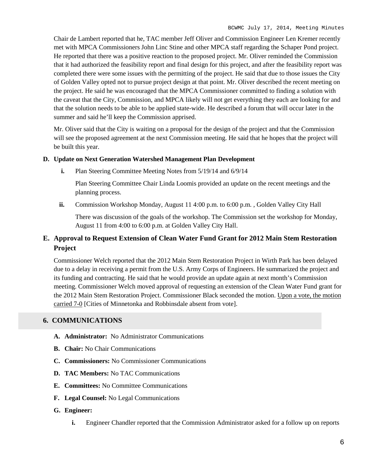Chair de Lambert reported that he, TAC member Jeff Oliver and Commission Engineer Len Kremer recently met with MPCA Commissioners John Linc Stine and other MPCA staff regarding the Schaper Pond project. He reported that there was a positive reaction to the proposed project. Mr. Oliver reminded the Commission that it had authorized the feasibility report and final design for this project, and after the feasibility report was completed there were some issues with the permitting of the project. He said that due to those issues the City of Golden Valley opted not to pursue project design at that point. Mr. Oliver described the recent meeting on the project. He said he was encouraged that the MPCA Commissioner committed to finding a solution with the caveat that the City, Commission, and MPCA likely will not get everything they each are looking for and that the solution needs to be able to be applied state-wide. He described a forum that will occur later in the summer and said he'll keep the Commission apprised.

Mr. Oliver said that the City is waiting on a proposal for the design of the project and that the Commission will see the proposed agreement at the next Commission meeting. He said that he hopes that the project will be built this year.

### **D. Update on Next Generation Watershed Management Plan Development**

**i.** Plan Steering Committee Meeting Notes from 5/19/14 and 6/9/14

Plan Steering Committee Chair Linda Loomis provided an update on the recent meetings and the planning process.

**ii.** Commission Workshop Monday, August 11 4:00 p.m. to 6:00 p.m., Golden Valley City Hall

There was discussion of the goals of the workshop. The Commission set the workshop for Monday, August 11 from 4:00 to 6:00 p.m. at Golden Valley City Hall.

## **E. Approval to Request Extension of Clean Water Fund Grant for 2012 Main Stem Restoration Project**

Commissioner Welch reported that the 2012 Main Stem Restoration Project in Wirth Park has been delayed due to a delay in receiving a permit from the U.S. Army Corps of Engineers. He summarized the project and its funding and contracting. He said that he would provide an update again at next month's Commission meeting. Commissioner Welch moved approval of requesting an extension of the Clean Water Fund grant for the 2012 Main Stem Restoration Project. Commissioner Black seconded the motion. Upon a vote, the motion carried 7-0 [Cities of Minnetonka and Robbinsdale absent from vote].

## **6. COMMUNICATIONS**

- **A. Administrator:** No Administrator Communications
- **B. Chair:** No Chair Communications
- **C. Commissioners:** No Commissioner Communications
- **D. TAC Members:** No TAC Communications
- **E. Committees:** No Committee Communications
- **F. Legal Counsel:** No Legal Communications

### **G. Engineer:**

**i.** Engineer Chandler reported that the Commission Administrator asked for a follow up on reports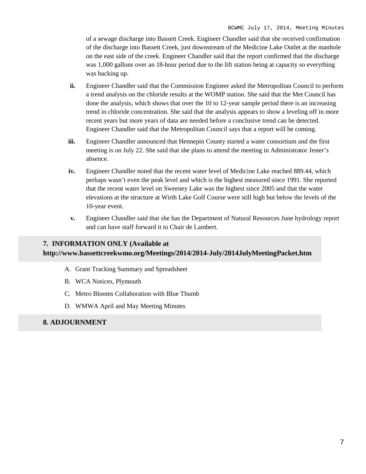of a sewage discharge into Bassett Creek. Engineer Chandler said that she received confirmation of the discharge into Bassett Creek, just downstream of the Medicine Lake Outlet at the manhole on the east side of the creek. Engineer Chandler said that the report confirmed that the discharge was 1,000 gallons over an 18-hour period due to the lift station being at capacity so everything was backing up.

- **ii.** Engineer Chandler said that the Commission Engineer asked the Metropolitan Council to perform a trend analysis on the chloride results at the WOMP station. She said that the Met Council has done the analysis, which shows that over the 10 to 12-year sample period there is an increasing trend in chloride concentration. She said that the analysis appears to show a leveling off in more recent years but more years of data are needed before a conclusive trend can be detected. Engineer Chandler said that the Metropolitan Council says that a report will be coming.
- **iii.** Engineer Chandler announced that Hennepin County started a water consortium and the first meeting is on July 22. She said that she plans to attend the meeting in Administrator Jester's absence.
- **iv.** Engineer Chandler noted that the recent water level of Medicine Lake reached 889.44, which perhaps wasn't even the peak level and which is the highest measured since 1991. She reported that the recent water level on Sweeney Lake was the highest since 2005 and that the water elevations at the structure at Wirth Lake Golf Course were still high but below the levels of the 10-year event.
- **v.** Engineer Chandler said that she has the Department of Natural Resources June hydrology report and can have staff forward it to Chair de Lambert.

# **7. INFORMATION ONLY (Available at http://www.bassettcreekwmo.org/Meetings/2014/2014-July/2014JulyMeetingPacket.htm**

- A. Grant Tracking Summary and Spreadsheet
- B. WCA Notices, Plymouth
- C. Metro Blooms Collaboration with Blue Thumb
- D. WMWA April and May Meeting Minutes

## **8. ADJOURNMENT**